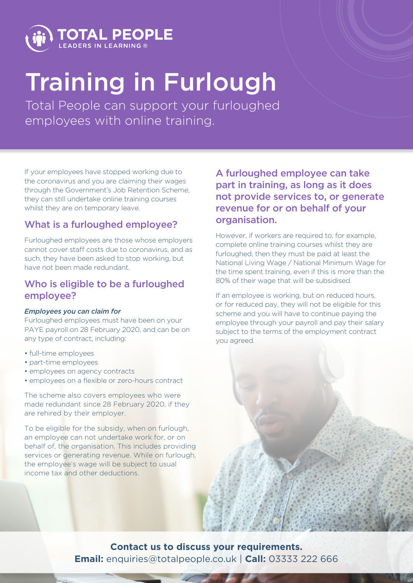

# Training in Furlough

Total People can support your furloughed employees with online training.

If your employees have stopped working due to the coronavirus and you are claiming their wages through the Government's Job Retention Scheme, they can still undertake online training courses whilst they are on temporary leave.

### What is a furloughed employee?

Furloughed employees are those whose employers cannot cover staff costs due to coronavirus, and as such, they have been asked to stop working, but have not been made redundant.

#### Who is eligible to be a furloughed employee?

#### *Employees you can claim for*

Furloughed employees must have been on your PAYE payroll on 28 February 2020, and can be on any type of contract, including:

- full-time employees
- part-time employees
- employees on agency contracts
- employees on a flexible or zero-hours contract

The scheme also covers employees who were made redundant since 28 February 2020, if they are rehired by their employer.

To be eligible for the subsidy, when on furlough, an employee can not undertake work for, or on behalf of, the organisation. This includes providing services or generating revenue. While on furlough, the employee's wage will be subject to usual income tax and other deductions.

A furloughed employee can take part in training, as long as it does not provide services to, or generate revenue for or on behalf of your organisation.

However, if workers are required to, for example, complete online training courses whilst they are furloughed, then they must be paid at least the National Living Wage / National Minimum Wage for the time spent training, even if this is more than the 80% of their wage that will be subsidised.

If an employee is working, but on reduced hours, or for reduced pay, they will not be eligible for this scheme and you will have to continue paying the employee through your payroll and pay their salary subject to the terms of the employment contract you agreed.

**Contact us to discuss your requirements. Email:** enquiries@totalpeople.co.uk | **Call:** 03333 222 666